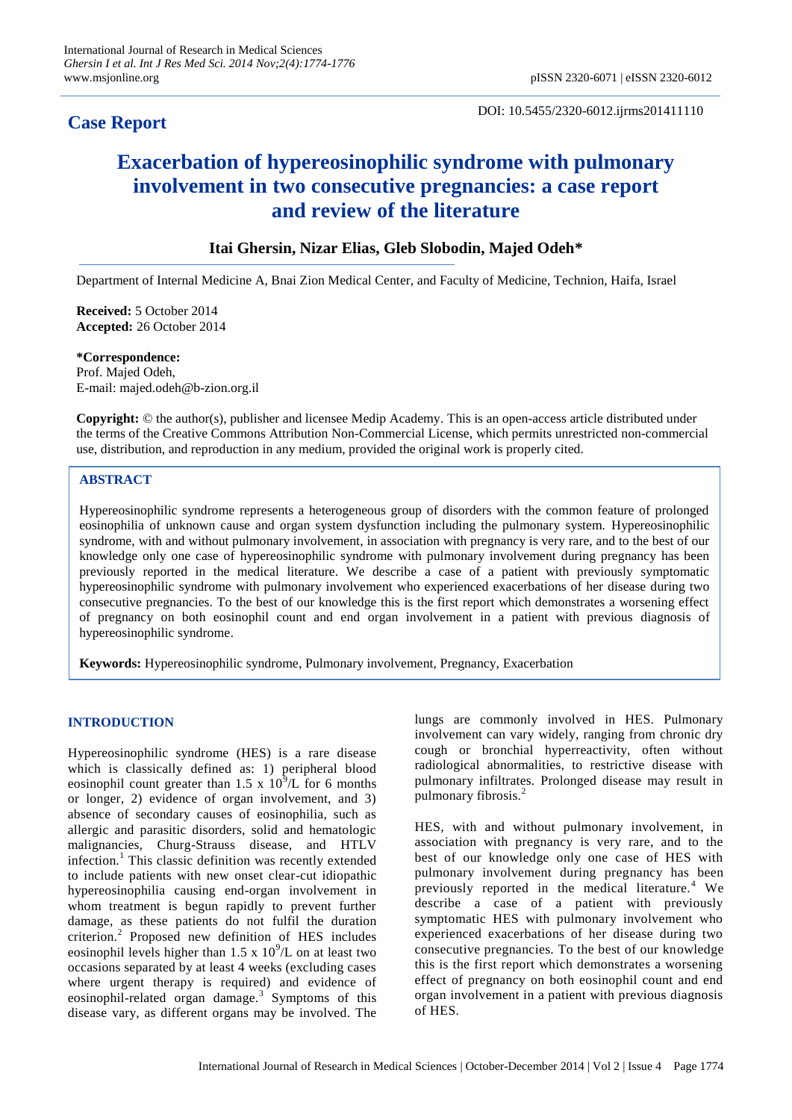## **Case Report**

DOI: 10.5455/2320-6012.ijrms201411110

# **Exacerbation of hypereosinophilic syndrome with pulmonary involvement in two consecutive pregnancies: a case report and review of the literature**

### **Itai Ghersin, Nizar Elias, Gleb Slobodin, Majed Odeh\***

Department of Internal Medicine A, Bnai Zion Medical Center, and Faculty of Medicine, Technion, Haifa, Israel

**Received:** 5 October 2014 **Accepted:** 26 October 2014

**\*Correspondence:** Prof. Majed Odeh, E-mail: majed.odeh@b-zion.org.il

**Copyright:** © the author(s), publisher and licensee Medip Academy. This is an open-access article distributed under the terms of the Creative Commons Attribution Non-Commercial License, which permits unrestricted non-commercial use, distribution, and reproduction in any medium, provided the original work is properly cited.

#### **ABSTRACT**

Hypereosinophilic syndrome represents a heterogeneous group of disorders with the common feature of prolonged eosinophilia of unknown cause and organ system dysfunction including the pulmonary system. Hypereosinophilic syndrome, with and without pulmonary involvement, in association with pregnancy is very rare, and to the best of our knowledge only one case of hypereosinophilic syndrome with pulmonary involvement during pregnancy has been previously reported in the medical literature. We describe a case of a patient with previously symptomatic hypereosinophilic syndrome with pulmonary involvement who experienced exacerbations of her disease during two consecutive pregnancies. To the best of our knowledge this is the first report which demonstrates a worsening effect of pregnancy on both eosinophil count and end organ involvement in a patient with previous diagnosis of hypereosinophilic syndrome.

**Keywords:** Hypereosinophilic syndrome, Pulmonary involvement, Pregnancy, Exacerbation

#### **INTRODUCTION**

Hypereosinophilic syndrome (HES) is a rare disease which is classically defined as: 1) peripheral blood eosinophil count greater than 1.5 x  $10^3$ /L for 6 months or longer, 2) evidence of organ involvement, and 3) absence of secondary causes of eosinophilia, such as allergic and parasitic disorders, solid and hematologic malignancies, Churg-Strauss disease, and HTLV infection.<sup>1</sup> This classic definition was recently extended to include patients with new onset clear-cut idiopathic hypereosinophilia causing end-organ involvement in whom treatment is begun rapidly to prevent further damage, as these patients do not fulfil the duration criterion.<sup>2</sup> Proposed new definition of HES includes eosinophil levels higher than  $1.5 \times 10^9$ /L on at least two occasions separated by at least 4 weeks (excluding cases where urgent therapy is required) and evidence of eosinophil-related organ damage.<sup>3</sup> Symptoms of this disease vary, as different organs may be involved. The

lungs are commonly involved in HES. Pulmonary involvement can vary widely, ranging from chronic dry cough or bronchial hyperreactivity, often without radiological abnormalities, to restrictive disease with pulmonary infiltrates. Prolonged disease may result in pulmonary fibrosis.<sup>2</sup>

HES, with and without pulmonary involvement, in association with pregnancy is very rare, and to the best of our knowledge only one case of HES with pulmonary involvement during pregnancy has been previously reported in the medical literature.<sup>4</sup> We describe a case of a patient with previously symptomatic HES with pulmonary involvement who experienced exacerbations of her disease during two consecutive pregnancies. To the best of our knowledge this is the first report which demonstrates a worsening effect of pregnancy on both eosinophil count and end organ involvement in a patient with previous diagnosis of HES.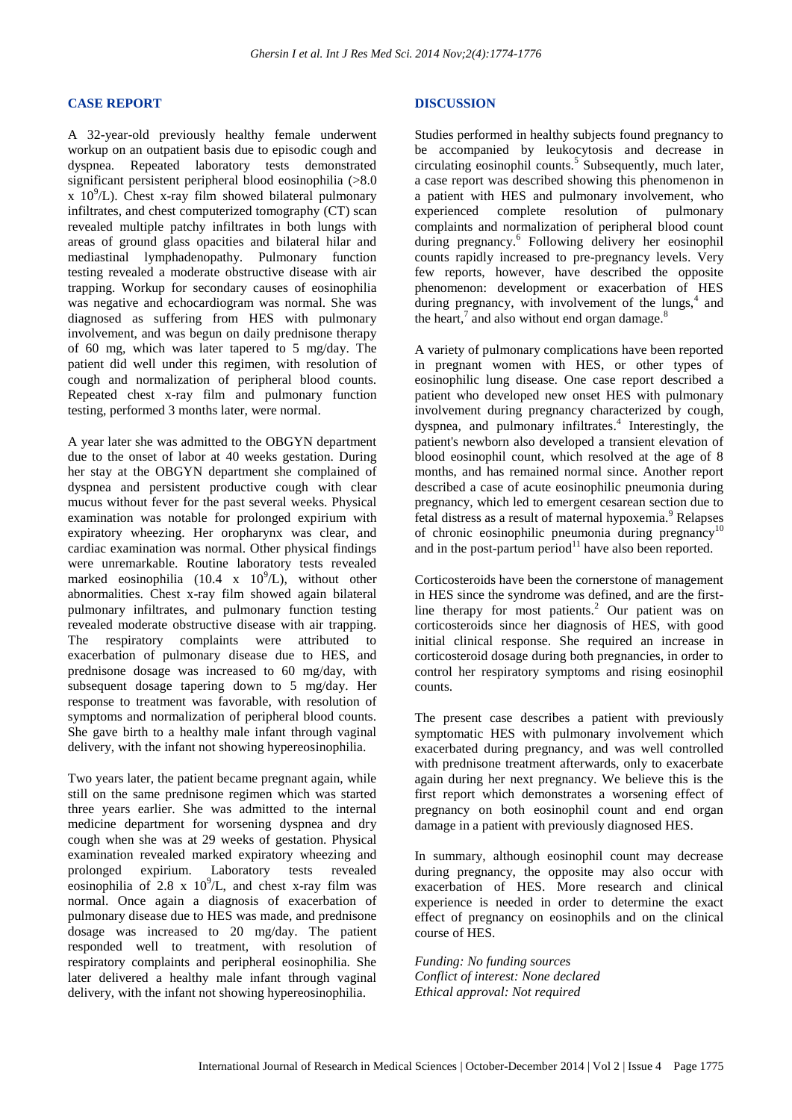#### **CASE REPORT**

A 32-year-old previously healthy female underwent workup on an outpatient basis due to episodic cough and dyspnea. Repeated laboratory tests demonstrated significant persistent peripheral blood eosinophilia (>8.0  $\overline{x}$  10<sup>9</sup>/L). Chest x-ray film showed bilateral pulmonary infiltrates, and chest computerized tomography (CT) scan revealed multiple patchy infiltrates in both lungs with areas of ground glass opacities and bilateral hilar and mediastinal lymphadenopathy. Pulmonary function testing revealed a moderate obstructive disease with air trapping. Workup for secondary causes of eosinophilia was negative and echocardiogram was normal. She was diagnosed as suffering from HES with pulmonary involvement, and was begun on daily prednisone therapy of 60 mg, which was later tapered to 5 mg/day. The patient did well under this regimen, with resolution of cough and normalization of peripheral blood counts. Repeated chest x-ray film and pulmonary function testing, performed 3 months later, were normal.

A year later she was admitted to the OBGYN department due to the onset of labor at 40 weeks gestation. During her stay at the OBGYN department she complained of dyspnea and persistent productive cough with clear mucus without fever for the past several weeks. Physical examination was notable for prolonged expirium with expiratory wheezing. Her oropharynx was clear, and cardiac examination was normal. Other physical findings were unremarkable. Routine laboratory tests revealed marked eosinophilia (10.4 x  $10^9$ /L), without other abnormalities. Chest x-ray film showed again bilateral pulmonary infiltrates, and pulmonary function testing revealed moderate obstructive disease with air trapping. The respiratory complaints were attributed to exacerbation of pulmonary disease due to HES, and prednisone dosage was increased to 60 mg/day, with subsequent dosage tapering down to 5 mg/day. Her response to treatment was favorable, with resolution of symptoms and normalization of peripheral blood counts. She gave birth to a healthy male infant through vaginal delivery, with the infant not showing hypereosinophilia.

Two years later, the patient became pregnant again, while still on the same prednisone regimen which was started three years earlier. She was admitted to the internal medicine department for worsening dyspnea and dry cough when she was at 29 weeks of gestation. Physical examination revealed marked expiratory wheezing and prolonged expirium. Laboratory tests revealed eosinophilia of  $2.8 \times 10^9$ /L, and chest x-ray film was normal. Once again a diagnosis of exacerbation of pulmonary disease due to HES was made, and prednisone dosage was increased to 20 mg/day. The patient responded well to treatment, with resolution of respiratory complaints and peripheral eosinophilia. She later delivered a healthy male infant through vaginal delivery, with the infant not showing hypereosinophilia.

#### **DISCUSSION**

Studies performed in healthy subjects found pregnancy to be accompanied by leukocytosis and decrease in circulating eosinophil counts.<sup>5</sup> Subsequently, much later, a case report was described showing this phenomenon in a patient with HES and pulmonary involvement, who experienced complete resolution of pulmonary complaints and normalization of peripheral blood count during pregnancy. 6 Following delivery her eosinophil counts rapidly increased to pre-pregnancy levels. Very few reports, however, have described the opposite phenomenon: development or exacerbation of HES during pregnancy, with involvement of the lungs, $4$  and the heart, $7$  and also without end organ damage. $8$ 

A variety of pulmonary complications have been reported in pregnant women with HES, or other types of eosinophilic lung disease. One case report described a patient who developed new onset HES with pulmonary involvement during pregnancy characterized by cough, dyspnea, and pulmonary infiltrates. 4 Interestingly, the patient's newborn also developed a transient elevation of blood eosinophil count, which resolved at the age of 8 months, and has remained normal since. Another report described a case of acute eosinophilic pneumonia during pregnancy, which led to emergent cesarean section due to fetal distress as a result of maternal hypoxemia.<sup>9</sup> Relapses of chronic eosinophilic pneumonia during pregnancy<sup>10</sup> and in the post-partum period $11$  have also been reported.

Corticosteroids have been the cornerstone of management in HES since the syndrome was defined, and are the firstline therapy for most patients.<sup>2</sup> Our patient was on corticosteroids since her diagnosis of HES, with good initial clinical response. She required an increase in corticosteroid dosage during both pregnancies, in order to control her respiratory symptoms and rising eosinophil counts.

The present case describes a patient with previously symptomatic HES with pulmonary involvement which exacerbated during pregnancy, and was well controlled with prednisone treatment afterwards, only to exacerbate again during her next pregnancy. We believe this is the first report which demonstrates a worsening effect of pregnancy on both eosinophil count and end organ damage in a patient with previously diagnosed HES.

In summary, although eosinophil count may decrease during pregnancy, the opposite may also occur with exacerbation of HES. More research and clinical experience is needed in order to determine the exact effect of pregnancy on eosinophils and on the clinical course of HES.

*Funding: No funding sources Conflict of interest: None declared Ethical approval: Not required*